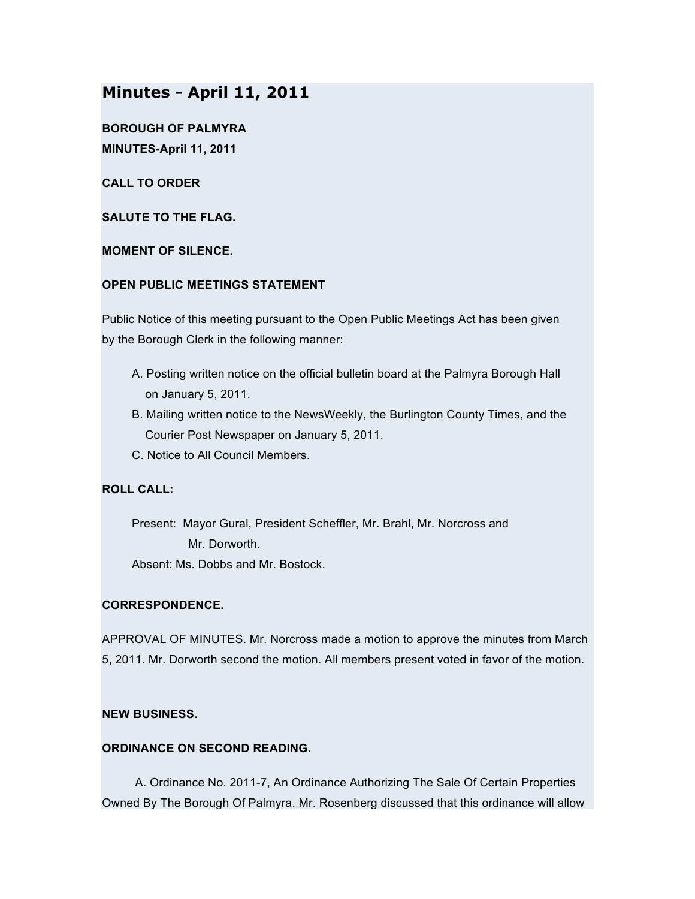# **Minutes - April 11, 2011**

**BOROUGH OF PALMYRA MINUTES-April 11, 2011**

**CALL TO ORDER**

**SALUTE TO THE FLAG.**

**MOMENT OF SILENCE.**

## **OPEN PUBLIC MEETINGS STATEMENT**

Public Notice of this meeting pursuant to the Open Public Meetings Act has been given by the Borough Clerk in the following manner:

- A. Posting written notice on the official bulletin board at the Palmyra Borough Hall on January 5, 2011.
- B. Mailing written notice to the NewsWeekly, the Burlington County Times, and the Courier Post Newspaper on January 5, 2011.
- C. Notice to All Council Members.

# **ROLL CALL:**

Present: Mayor Gural, President Scheffler, Mr. Brahl, Mr. Norcross and Mr. Dorworth. Absent: Ms. Dobbs and Mr. Bostock.

# **CORRESPONDENCE.**

APPROVAL OF MINUTES. Mr. Norcross made a motion to approve the minutes from March 5, 2011. Mr. Dorworth second the motion. All members present voted in favor of the motion.

# **NEW BUSINESS.**

## **ORDINANCE ON SECOND READING.**

A. Ordinance No. 2011-7, An Ordinance Authorizing The Sale Of Certain Properties Owned By The Borough Of Palmyra. Mr. Rosenberg discussed that this ordinance will allow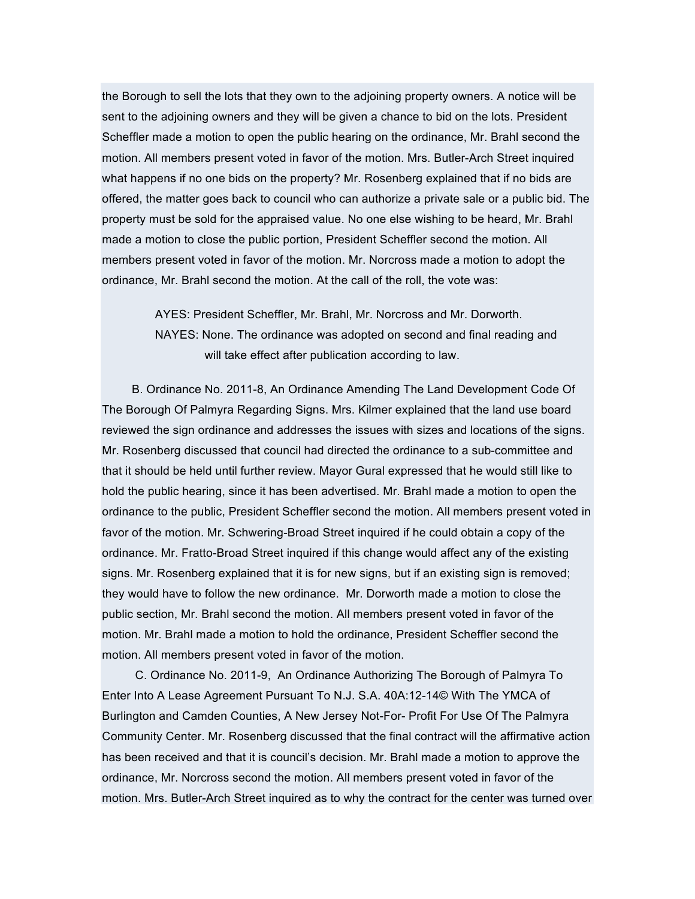the Borough to sell the lots that they own to the adjoining property owners. A notice will be sent to the adjoining owners and they will be given a chance to bid on the lots. President Scheffler made a motion to open the public hearing on the ordinance, Mr. Brahl second the motion. All members present voted in favor of the motion. Mrs. Butler-Arch Street inquired what happens if no one bids on the property? Mr. Rosenberg explained that if no bids are offered, the matter goes back to council who can authorize a private sale or a public bid. The property must be sold for the appraised value. No one else wishing to be heard, Mr. Brahl made a motion to close the public portion, President Scheffler second the motion. All members present voted in favor of the motion. Mr. Norcross made a motion to adopt the ordinance, Mr. Brahl second the motion. At the call of the roll, the vote was:

> AYES: President Scheffler, Mr. Brahl, Mr. Norcross and Mr. Dorworth. NAYES: None. The ordinance was adopted on second and final reading and will take effect after publication according to law.

B. Ordinance No. 2011-8, An Ordinance Amending The Land Development Code Of The Borough Of Palmyra Regarding Signs. Mrs. Kilmer explained that the land use board reviewed the sign ordinance and addresses the issues with sizes and locations of the signs. Mr. Rosenberg discussed that council had directed the ordinance to a sub-committee and that it should be held until further review. Mayor Gural expressed that he would still like to hold the public hearing, since it has been advertised. Mr. Brahl made a motion to open the ordinance to the public, President Scheffler second the motion. All members present voted in favor of the motion. Mr. Schwering-Broad Street inquired if he could obtain a copy of the ordinance. Mr. Fratto-Broad Street inquired if this change would affect any of the existing signs. Mr. Rosenberg explained that it is for new signs, but if an existing sign is removed; they would have to follow the new ordinance. Mr. Dorworth made a motion to close the public section, Mr. Brahl second the motion. All members present voted in favor of the motion. Mr. Brahl made a motion to hold the ordinance, President Scheffler second the motion. All members present voted in favor of the motion.

C. Ordinance No. 2011-9, An Ordinance Authorizing The Borough of Palmyra To Enter Into A Lease Agreement Pursuant To N.J. S.A. 40A:12-14© With The YMCA of Burlington and Camden Counties, A New Jersey Not-For- Profit For Use Of The Palmyra Community Center. Mr. Rosenberg discussed that the final contract will the affirmative action has been received and that it is council's decision. Mr. Brahl made a motion to approve the ordinance, Mr. Norcross second the motion. All members present voted in favor of the motion. Mrs. Butler-Arch Street inquired as to why the contract for the center was turned over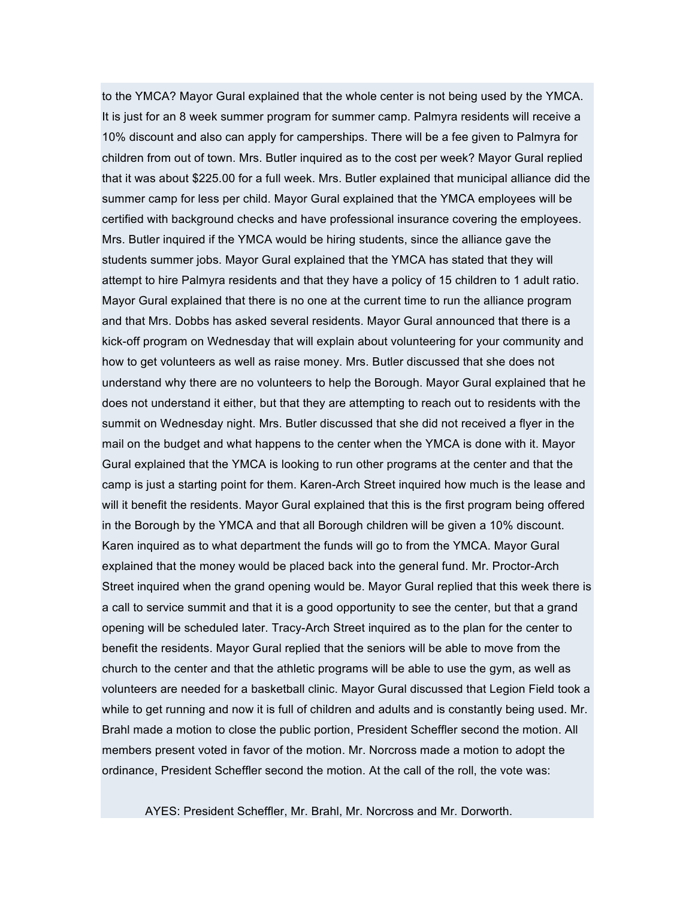to the YMCA? Mayor Gural explained that the whole center is not being used by the YMCA. It is just for an 8 week summer program for summer camp. Palmyra residents will receive a 10% discount and also can apply for camperships. There will be a fee given to Palmyra for children from out of town. Mrs. Butler inquired as to the cost per week? Mayor Gural replied that it was about \$225.00 for a full week. Mrs. Butler explained that municipal alliance did the summer camp for less per child. Mayor Gural explained that the YMCA employees will be certified with background checks and have professional insurance covering the employees. Mrs. Butler inquired if the YMCA would be hiring students, since the alliance gave the students summer jobs. Mayor Gural explained that the YMCA has stated that they will attempt to hire Palmyra residents and that they have a policy of 15 children to 1 adult ratio. Mayor Gural explained that there is no one at the current time to run the alliance program and that Mrs. Dobbs has asked several residents. Mayor Gural announced that there is a kick-off program on Wednesday that will explain about volunteering for your community and how to get volunteers as well as raise money. Mrs. Butler discussed that she does not understand why there are no volunteers to help the Borough. Mayor Gural explained that he does not understand it either, but that they are attempting to reach out to residents with the summit on Wednesday night. Mrs. Butler discussed that she did not received a flyer in the mail on the budget and what happens to the center when the YMCA is done with it. Mayor Gural explained that the YMCA is looking to run other programs at the center and that the camp is just a starting point for them. Karen-Arch Street inquired how much is the lease and will it benefit the residents. Mayor Gural explained that this is the first program being offered in the Borough by the YMCA and that all Borough children will be given a 10% discount. Karen inquired as to what department the funds will go to from the YMCA. Mayor Gural explained that the money would be placed back into the general fund. Mr. Proctor-Arch Street inquired when the grand opening would be. Mayor Gural replied that this week there is a call to service summit and that it is a good opportunity to see the center, but that a grand opening will be scheduled later. Tracy-Arch Street inquired as to the plan for the center to benefit the residents. Mayor Gural replied that the seniors will be able to move from the church to the center and that the athletic programs will be able to use the gym, as well as volunteers are needed for a basketball clinic. Mayor Gural discussed that Legion Field took a while to get running and now it is full of children and adults and is constantly being used. Mr. Brahl made a motion to close the public portion, President Scheffler second the motion. All members present voted in favor of the motion. Mr. Norcross made a motion to adopt the ordinance, President Scheffler second the motion. At the call of the roll, the vote was:

AYES: President Scheffler, Mr. Brahl, Mr. Norcross and Mr. Dorworth.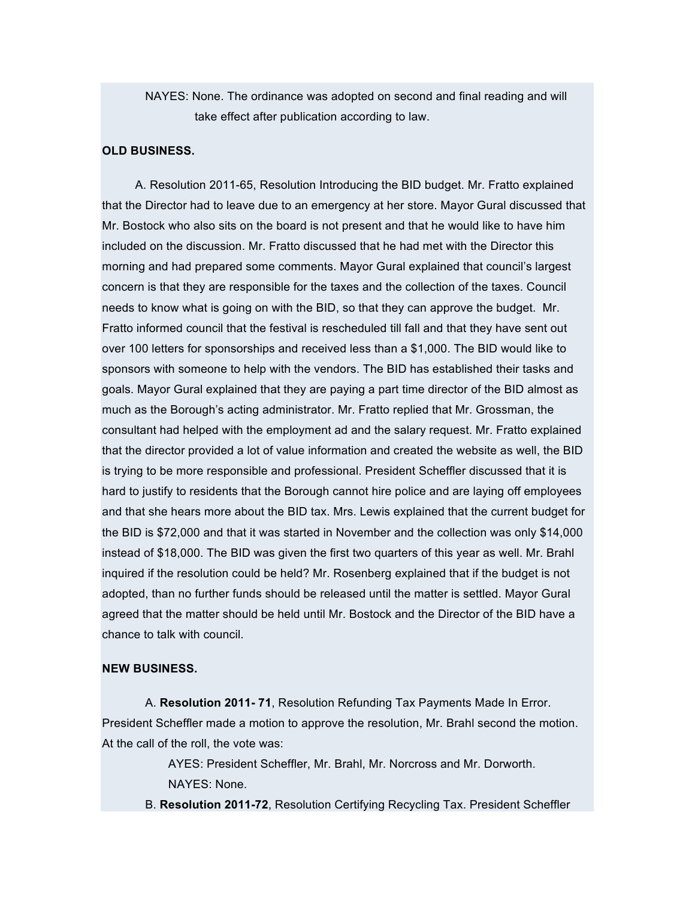NAYES: None. The ordinance was adopted on second and final reading and will take effect after publication according to law.

## **OLD BUSINESS.**

A. Resolution 2011-65, Resolution Introducing the BID budget. Mr. Fratto explained that the Director had to leave due to an emergency at her store. Mayor Gural discussed that Mr. Bostock who also sits on the board is not present and that he would like to have him included on the discussion. Mr. Fratto discussed that he had met with the Director this morning and had prepared some comments. Mayor Gural explained that council's largest concern is that they are responsible for the taxes and the collection of the taxes. Council needs to know what is going on with the BID, so that they can approve the budget. Mr. Fratto informed council that the festival is rescheduled till fall and that they have sent out over 100 letters for sponsorships and received less than a \$1,000. The BID would like to sponsors with someone to help with the vendors. The BID has established their tasks and goals. Mayor Gural explained that they are paying a part time director of the BID almost as much as the Borough's acting administrator. Mr. Fratto replied that Mr. Grossman, the consultant had helped with the employment ad and the salary request. Mr. Fratto explained that the director provided a lot of value information and created the website as well, the BID is trying to be more responsible and professional. President Scheffler discussed that it is hard to justify to residents that the Borough cannot hire police and are laying off employees and that she hears more about the BID tax. Mrs. Lewis explained that the current budget for the BID is \$72,000 and that it was started in November and the collection was only \$14,000 instead of \$18,000. The BID was given the first two quarters of this year as well. Mr. Brahl inquired if the resolution could be held? Mr. Rosenberg explained that if the budget is not adopted, than no further funds should be released until the matter is settled. Mayor Gural agreed that the matter should be held until Mr. Bostock and the Director of the BID have a chance to talk with council.

#### **NEW BUSINESS.**

A. **Resolution 2011- 71**, Resolution Refunding Tax Payments Made In Error. President Scheffler made a motion to approve the resolution, Mr. Brahl second the motion. At the call of the roll, the vote was:

> AYES: President Scheffler, Mr. Brahl, Mr. Norcross and Mr. Dorworth. NAYES: None.

B. **Resolution 2011-72**, Resolution Certifying Recycling Tax. President Scheffler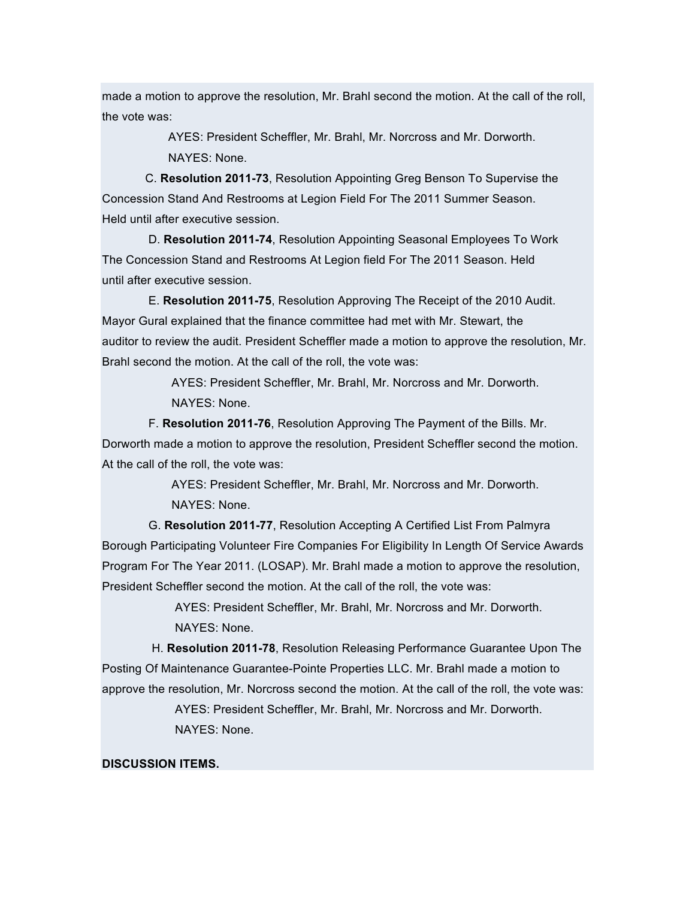made a motion to approve the resolution, Mr. Brahl second the motion. At the call of the roll, the vote was:

> AYES: President Scheffler, Mr. Brahl, Mr. Norcross and Mr. Dorworth. NAYES: None.

C. **Resolution 2011-73**, Resolution Appointing Greg Benson To Supervise the Concession Stand And Restrooms at Legion Field For The 2011 Summer Season. Held until after executive session.

D. **Resolution 2011-74**, Resolution Appointing Seasonal Employees To Work The Concession Stand and Restrooms At Legion field For The 2011 Season. Held until after executive session.

E. **Resolution 2011-75**, Resolution Approving The Receipt of the 2010 Audit. Mayor Gural explained that the finance committee had met with Mr. Stewart, the auditor to review the audit. President Scheffler made a motion to approve the resolution, Mr. Brahl second the motion. At the call of the roll, the vote was:

> AYES: President Scheffler, Mr. Brahl, Mr. Norcross and Mr. Dorworth. NAYES: None.

F. **Resolution 2011-76**, Resolution Approving The Payment of the Bills. Mr. Dorworth made a motion to approve the resolution, President Scheffler second the motion. At the call of the roll, the vote was:

> AYES: President Scheffler, Mr. Brahl, Mr. Norcross and Mr. Dorworth. NAYES: None.

G. **Resolution 2011-77**, Resolution Accepting A Certified List From Palmyra Borough Participating Volunteer Fire Companies For Eligibility In Length Of Service Awards Program For The Year 2011. (LOSAP). Mr. Brahl made a motion to approve the resolution, President Scheffler second the motion. At the call of the roll, the vote was:

> AYES: President Scheffler, Mr. Brahl, Mr. Norcross and Mr. Dorworth. NAYES: None.

H. **Resolution 2011-78**, Resolution Releasing Performance Guarantee Upon The Posting Of Maintenance Guarantee-Pointe Properties LLC. Mr. Brahl made a motion to approve the resolution, Mr. Norcross second the motion. At the call of the roll, the vote was: AYES: President Scheffler, Mr. Brahl, Mr. Norcross and Mr. Dorworth. NAYES: None.

## **DISCUSSION ITEMS.**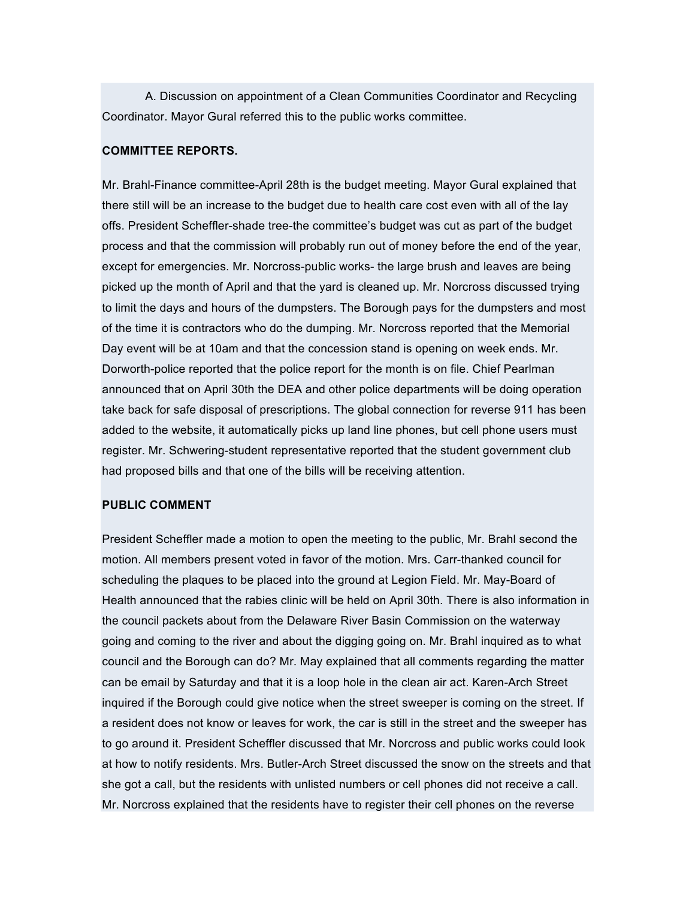A. Discussion on appointment of a Clean Communities Coordinator and Recycling Coordinator. Mayor Gural referred this to the public works committee.

#### **COMMITTEE REPORTS.**

Mr. Brahl-Finance committee-April 28th is the budget meeting. Mayor Gural explained that there still will be an increase to the budget due to health care cost even with all of the lay offs. President Scheffler-shade tree-the committee's budget was cut as part of the budget process and that the commission will probably run out of money before the end of the year, except for emergencies. Mr. Norcross-public works- the large brush and leaves are being picked up the month of April and that the yard is cleaned up. Mr. Norcross discussed trying to limit the days and hours of the dumpsters. The Borough pays for the dumpsters and most of the time it is contractors who do the dumping. Mr. Norcross reported that the Memorial Day event will be at 10am and that the concession stand is opening on week ends. Mr. Dorworth-police reported that the police report for the month is on file. Chief Pearlman announced that on April 30th the DEA and other police departments will be doing operation take back for safe disposal of prescriptions. The global connection for reverse 911 has been added to the website, it automatically picks up land line phones, but cell phone users must register. Mr. Schwering-student representative reported that the student government club had proposed bills and that one of the bills will be receiving attention.

#### **PUBLIC COMMENT**

President Scheffler made a motion to open the meeting to the public, Mr. Brahl second the motion. All members present voted in favor of the motion. Mrs. Carr-thanked council for scheduling the plaques to be placed into the ground at Legion Field. Mr. May-Board of Health announced that the rabies clinic will be held on April 30th. There is also information in the council packets about from the Delaware River Basin Commission on the waterway going and coming to the river and about the digging going on. Mr. Brahl inquired as to what council and the Borough can do? Mr. May explained that all comments regarding the matter can be email by Saturday and that it is a loop hole in the clean air act. Karen-Arch Street inquired if the Borough could give notice when the street sweeper is coming on the street. If a resident does not know or leaves for work, the car is still in the street and the sweeper has to go around it. President Scheffler discussed that Mr. Norcross and public works could look at how to notify residents. Mrs. Butler-Arch Street discussed the snow on the streets and that she got a call, but the residents with unlisted numbers or cell phones did not receive a call. Mr. Norcross explained that the residents have to register their cell phones on the reverse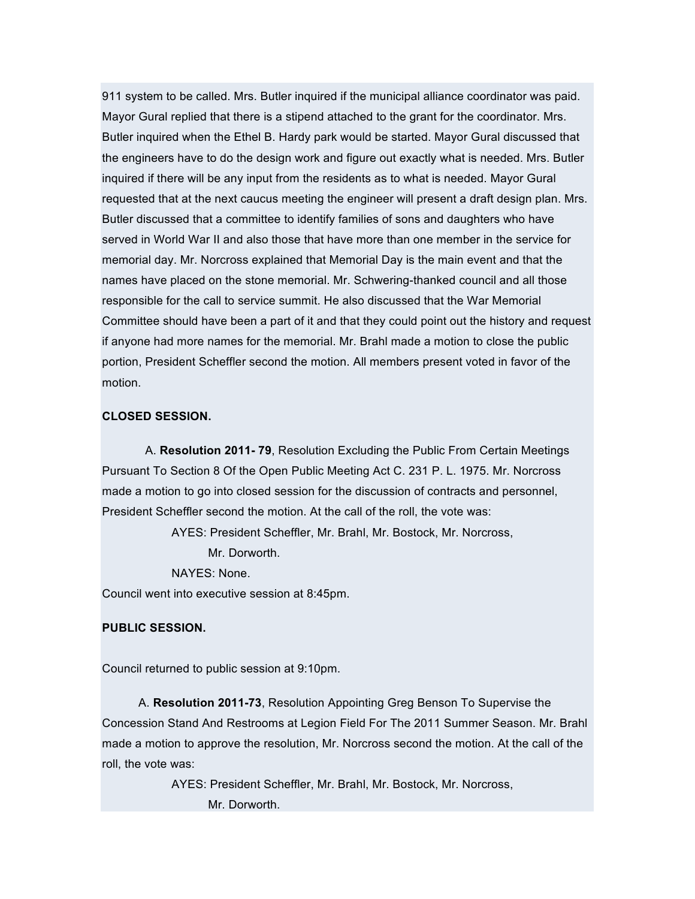911 system to be called. Mrs. Butler inquired if the municipal alliance coordinator was paid. Mayor Gural replied that there is a stipend attached to the grant for the coordinator. Mrs. Butler inquired when the Ethel B. Hardy park would be started. Mayor Gural discussed that the engineers have to do the design work and figure out exactly what is needed. Mrs. Butler inquired if there will be any input from the residents as to what is needed. Mayor Gural requested that at the next caucus meeting the engineer will present a draft design plan. Mrs. Butler discussed that a committee to identify families of sons and daughters who have served in World War II and also those that have more than one member in the service for memorial day. Mr. Norcross explained that Memorial Day is the main event and that the names have placed on the stone memorial. Mr. Schwering-thanked council and all those responsible for the call to service summit. He also discussed that the War Memorial Committee should have been a part of it and that they could point out the history and request if anyone had more names for the memorial. Mr. Brahl made a motion to close the public portion, President Scheffler second the motion. All members present voted in favor of the motion.

#### **CLOSED SESSION.**

A. **Resolution 2011- 79**, Resolution Excluding the Public From Certain Meetings Pursuant To Section 8 Of the Open Public Meeting Act C. 231 P. L. 1975. Mr. Norcross made a motion to go into closed session for the discussion of contracts and personnel, President Scheffler second the motion. At the call of the roll, the vote was:

AYES: President Scheffler, Mr. Brahl, Mr. Bostock, Mr. Norcross,

Mr. Dorworth

NAYES: None.

Council went into executive session at 8:45pm.

## **PUBLIC SESSION.**

Council returned to public session at 9:10pm.

A. **Resolution 2011-73**, Resolution Appointing Greg Benson To Supervise the Concession Stand And Restrooms at Legion Field For The 2011 Summer Season. Mr. Brahl made a motion to approve the resolution, Mr. Norcross second the motion. At the call of the roll, the vote was:

> AYES: President Scheffler, Mr. Brahl, Mr. Bostock, Mr. Norcross, Mr. Dorworth.